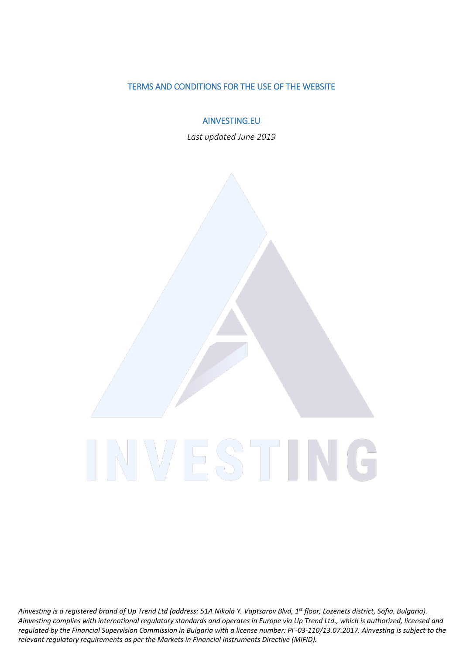#### TERMS AND CONDITIONS FOR THE USE OF THE WEBSITE

AINVESTING.EU

*Last updated June 2019*

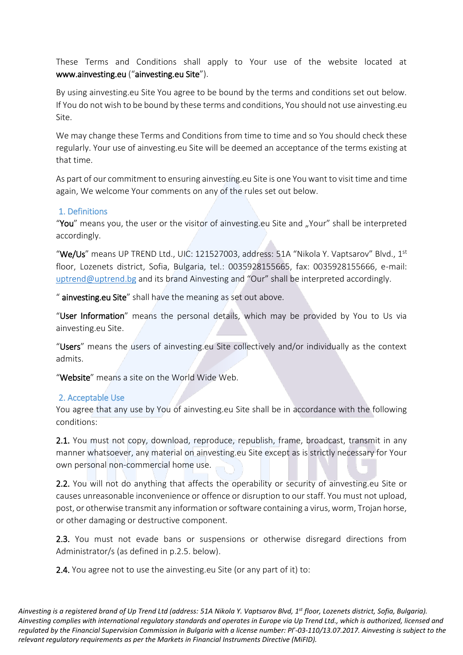These Terms and Conditions shall apply to Your use of the website located at [www.ainvesting.eu](http://www.ainvesting.com/) ("ainvesting.eu Site").

By using ainvesting.eu Site You agree to be bound by the terms and conditions set out below. If You do not wish to be bound by these terms and conditions, You should not use ainvesting.eu Site.

We may change these Terms and Conditions from time to time and so You should check these regularly. Your use of ainvesting.eu Site will be deemed an acceptance of the terms existing at that time.

As part of our commitment to ensuring ainvesting.eu Site is one You want to visit time and time again, We welcome Your comments on any of the rules set out below.

### 1. Definitions

"You" means you, the user or the visitor of ainvesting.eu Site and "Your" shall be interpreted accordingly.

"We/Us" means UP TREND Ltd., UIC: 121527003, address: 51A "Nikola Y. Vaptsarov" Blvd., 1st floor, Lozenets district, Sofia, Bulgaria, tel.: 0035928155665, fax: 0035928155666, e-mail: [uptrend@uptrend.bg](mailto:uptrend@uptrend.bg) and its brand Ainvesting and "Our" shall be interpreted accordingly.

" ainvesting.eu Site" shall have the meaning as set out above.

"User Information" means the personal details, which may be provided by You to Us via ainvesting.eu Site.

"Users" means the users of ainvesting.eu Site collectively and/or individually as the context admits.

"Website" means a site on the World Wide Web.

### 2. Acceptable Use

You agree that any use by You of ainvesting.eu Site shall be in accordance with the following conditions:

2.1. You must not copy, download, reproduce, republish, frame, broadcast, transmit in any manner whatsoever, any material on ainvesting.eu Site except as is strictly necessary for Your own personal non-commercial home use.

2.2. You will not do anything that affects the operability or security of ainvesting.eu Site or causes unreasonable inconvenience or offence or disruption to our staff. You must not upload, post, or otherwise transmit any information or software containing a virus, worm, Trojan horse, or other damaging or destructive component.

2.3. You must not evade bans or suspensions or otherwise disregard directions from Administrator/s (as defined in p.2.5. below).

2.4. You agree not to use the ainvesting.eu Site (or any part of it) to: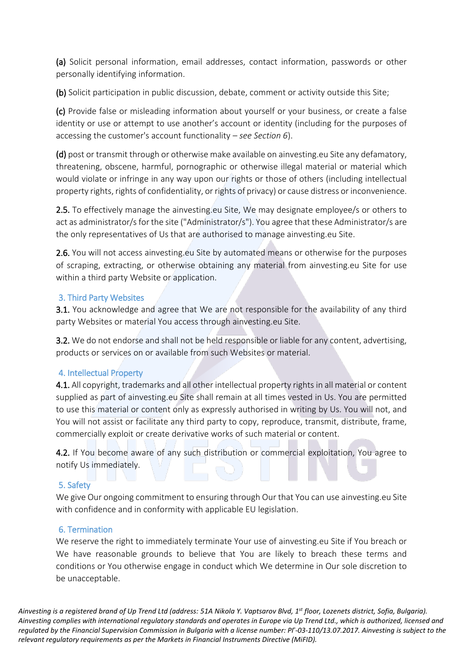(a) Solicit personal information, email addresses, contact information, passwords or other personally identifying information.

(b) Solicit participation in public discussion, debate, comment or activity outside this Site;

(c) Provide false or misleading information about yourself or your business, or create a false identity or use or attempt to use another's account or identity (including for the purposes of accessing the customer's account functionality – *see Section 6*).

(d) post or transmit through or otherwise make available on ainvesting.eu Site any defamatory, threatening, obscene, harmful, pornographic or otherwise illegal material or material which would violate or infringe in any way upon our rights or those of others (including intellectual property rights, rights of confidentiality, or rights of privacy) or cause distress or inconvenience.

2.5. To effectively manage the ainvesting.eu Site, We may designate employee/s or others to act as administrator/s for the site ("Administrator/s"). You agree that these Administrator/s are the only representatives of Us that are authorised to manage ainvesting.eu Site.

2.6. You will not access ainvesting.eu Site by automated means or otherwise for the purposes of scraping, extracting, or otherwise obtaining any material from ainvesting.eu Site for use within a third party Website or application.

# 3. Third Party Websites

**3.1.** You acknowledge and agree that We are not responsible for the availability of any third party Websites or material You access through ainvesting.eu Site.

3.2. We do not endorse and shall not be held responsible or liable for any content, advertising, products or services on or available from such Websites or material.

# 4. Intellectual Property

4.1. All copyright, trademarks and all other intellectual property rights in all material or content supplied as part of ainvesting.eu Site shall remain at all times vested in Us. You are permitted to use this material or content only as expressly authorised in writing by Us. You will not, and You will not assist or facilitate any third party to copy, reproduce, transmit, distribute, frame, commercially exploit or create derivative works of such material or content.

4.2. If You become aware of any such distribution or commercial exploitation, You agree to notify Us immediately.

### 5. Safety

We give Our ongoing commitment to ensuring through Our that You can use ainvesting.eu Site with confidence and in conformity with applicable EU legislation.

### 6. Termination

We reserve the right to immediately terminate Your use of ainvesting.eu Site if You breach or We have reasonable grounds to believe that You are likely to breach these terms and conditions or You otherwise engage in conduct which We determine in Our sole discretion to be unacceptable.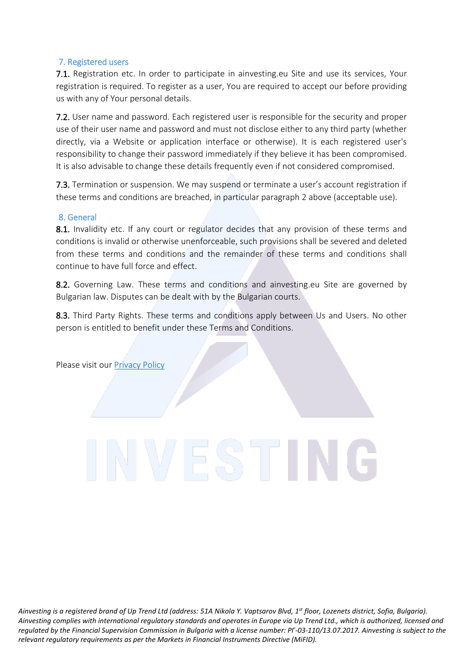# 7. Registered users

7.1. Registration etc. In order to participate in ainvesting.eu Site and use its services, Your registration is required. To register as a user, You are required to accept our before providing us with any of Your personal details.

7.2. User name and password. Each registered user is responsible for the security and proper use of their user name and password and must not disclose either to any third party (whether directly, via a Website or application interface or otherwise). It is each registered user's responsibility to change their password immediately if they believe it has been compromised. It is also advisable to change these details frequently even if not considered compromised.

7.3. Termination or suspension. We may suspend or terminate a user's account registration if these terms and conditions are breached, in particular paragraph 2 above (acceptable use).

### 8. General

8.1. Invalidity etc. If any court or regulator decides that any provision of these terms and conditions is invalid or otherwise unenforceable, such provisions shall be severed and deleted from these terms and conditions and the remainder of these terms and conditions shall continue to have full force and effect.

8.2. Governing Law. These terms and conditions and ainvesting.eu Site are governed by Bulgarian law. Disputes can be dealt with by the Bulgarian courts.

8.3. Third Party Rights. These terms and conditions apply between Us and Users. No other person is entitled to benefit under these Terms and Conditions.

Please visit our [Privacy Policy](https://static.ainvesting.eu/documents/eu/privacy-policy.pdf)